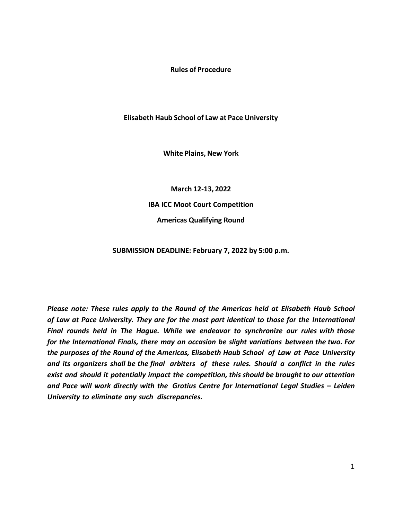**Rules of Procedure**

**Elisabeth Haub School of Law at Pace University**

**White Plains, New York**

**March 12-13, 2022 IBA ICC Moot Court Competition Americas Qualifying Round**

**SUBMISSION DEADLINE: February 7, 2022 by 5:00 p.m.**

*Please note: These rules apply to the Round of the Americas held at Elisabeth Haub School of Law at Pace University. They are for the most part identical to those for the International Final rounds held in The Hague. While we endeavor to synchronize our rules with those for the International Finals, there may on occasion be slight variations between the two. For the purposes of the Round of the Americas, Elisabeth Haub School of Law at Pace University and its organizers shall be the final arbiters of these rules. Should a conflict in the rules exist and should it potentially impact the competition, this should be brought to our attention and Pace will work directly with the Grotius Centre for International Legal Studies – Leiden University to eliminate any such discrepancies.*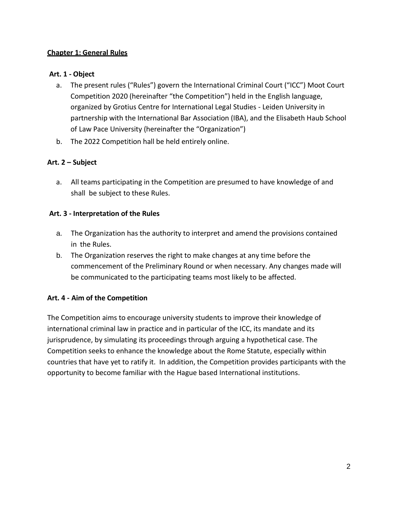## **Chapter 1: General Rules**

### **Art. 1 - Object**

- a. The present rules ("Rules") govern the International Criminal Court ("ICC") Moot Court Competition 2020 (hereinafter "the Competition") held in the English language, organized by Grotius Centre for International Legal Studies - Leiden University in partnership with the International Bar Association (IBA), and the Elisabeth Haub School of Law Pace University (hereinafter the "Organization")
- b. The 2022 Competition hall be held entirely online.

### **Art. 2 – Subject**

a. All teams participating in the Competition are presumed to have knowledge of and shall be subject to these Rules.

#### **Art. 3 - Interpretation of the Rules**

- a. The Organization has the authority to interpret and amend the provisions contained in the Rules.
- b. The Organization reserves the right to make changes at any time before the commencement of the Preliminary Round or when necessary. Any changes made will be communicated to the participating teams most likely to be affected.

#### **Art. 4 - Aim of the Competition**

The Competition aims to encourage university students to improve their knowledge of international criminal law in practice and in particular of the ICC, its mandate and its jurisprudence, by simulating its proceedings through arguing a hypothetical case. The Competition seeks to enhance the knowledge about the Rome Statute, especially within countries that have yet to ratify it. In addition, the Competition provides participants with the opportunity to become familiar with the Hague based International institutions.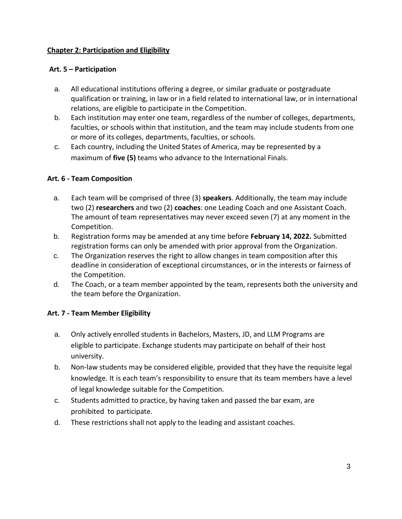## **Chapter 2: Participation and Eligibility**

### **Art. 5 – Participation**

- a. All educational institutions offering a degree, or similar graduate or postgraduate qualification or training, in law or in a field related to international law, or in international relations, are eligible to participate in the Competition.
- b. Each institution may enter one team, regardless of the number of colleges, departments, faculties, or schools within that institution, and the team may include students from one or more of its colleges, departments, faculties, or schools.
- c. Each country, including the United States of America, may be represented by a maximum of **five (5)** teams who advance to the International Finals.

## **Art. 6 - Team Composition**

- a. Each team will be comprised of three (3) **speakers**. Additionally, the team may include two (2) **researchers** and two (2) **coaches**: one Leading Coach and one Assistant Coach. The amount of team representatives may never exceed seven (7) at any moment in the Competition.
- b. Registration forms may be amended at any time before **February 14, 2022.** Submitted registration forms can only be amended with prior approval from the Organization.
- c. The Organization reserves the right to allow changes in team composition after this deadline in consideration of exceptional circumstances, or in the interests or fairness of the Competition.
- d. The Coach, or a team member appointed by the team, represents both the university and the team before the Organization.

## **Art. 7 - Team Member Eligibility**

- a. Only actively enrolled students in Bachelors, Masters, JD, and LLM Programs are eligible to participate. Exchange students may participate on behalf of their host university.
- b. Non-law students may be considered eligible, provided that they have the requisite legal knowledge. It is each team's responsibility to ensure that its team members have a level of legal knowledge suitable for the Competition.
- c. Students admitted to practice, by having taken and passed the bar exam, are prohibited to participate.
- d. These restrictions shall not apply to the leading and assistant coaches.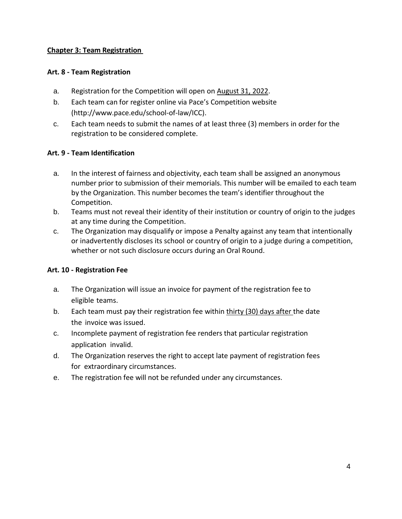## **Chapter 3: Team Registration**

### **Art. 8 - Team Registration**

- a. Registration for the Competition will open on August 31, 2022.
- b. Each team can for register online via Pace's Competition website [\(http://www.pace.edu/school-of-law/ICC\).](http://www.pace.edu/school-of-law/ICC))
- c. Each team needs to submit the names of at least three (3) members in order for the registration to be considered complete.

## **Art. 9 - Team Identification**

- a. In the interest of fairness and objectivity, each team shall be assigned an anonymous number prior to submission of their memorials. This number will be emailed to each team by the Organization. This number becomes the team's identifier throughout the Competition.
- b. Teams must not reveal their identity of their institution or country of origin to the judges at any time during the Competition.
- c. The Organization may disqualify or impose a Penalty against any team that intentionally or inadvertently discloses its school or country of origin to a judge during a competition, whether or not such disclosure occurs during an Oral Round.

#### **Art. 10 - Registration Fee**

- a. The Organization will issue an invoice for payment of the registration fee to eligible teams.
- b. Each team must pay their registration fee within thirty (30) days after the date the invoice was issued.
- c. Incomplete payment of registration fee renders that particular registration application invalid.
- d. The Organization reserves the right to accept late payment of registration fees for extraordinary circumstances.
- e. The registration fee will not be refunded under any circumstances.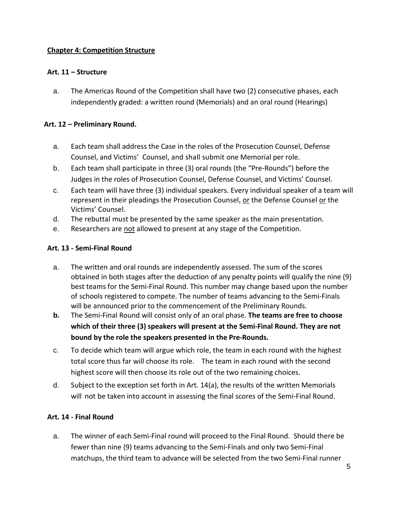## **Chapter 4: Competition Structure**

## **Art. 11 – Structure**

a. The Americas Round of the Competition shall have two (2) consecutive phases, each independently graded: a written round (Memorials) and an oral round (Hearings)

# **Art. 12 – Preliminary Round.**

- a. Each team shall address the Case in the roles of the Prosecution Counsel, Defense Counsel, and Victims' Counsel, and shall submit one Memorial per role.
- b. Each team shall participate in three (3) oral rounds (the "Pre-Rounds") before the Judges in the roles of Prosecution Counsel, Defense Counsel, and Victims' Counsel.
- c. Each team will have three (3) individual speakers. Every individual speaker of a team will represent in their pleadings the Prosecution Counsel, or the Defense Counsel or the Victims' Counsel.
- d. The rebuttal must be presented by the same speaker as the main presentation.
- e. Researchers are not allowed to present at any stage of the Competition.

## **Art. 13 - Semi-Final Round**

- a. The written and oral rounds are independently assessed. The sum of the scores obtained in both stages after the deduction of any penalty points will qualify the nine (9) best teams for the Semi-Final Round. This number may change based upon the number of schools registered to compete. The number of teams advancing to the Semi-Finals will be announced prior to the commencement of the Preliminary Rounds.
- **b.** The Semi-Final Round will consist only of an oral phase. **The teams are free to choose which of their three (3) speakers will present at the Semi-Final Round. They are not bound by the role the speakers presented in the Pre-Rounds.**
- c. To decide which team will argue which role, the team in each round with the highest total score thus far will choose its role. The team in each round with the second highest score will then choose its role out of the two remaining choices.
- d. Subject to the exception set forth in Art. 14(a), the results of the written Memorials will not be taken into account in assessing the final scores of the Semi-Final Round.

## **Art. 14 - Final Round**

a. The winner of each Semi-Final round will proceed to the Final Round. Should there be fewer than nine (9) teams advancing to the Semi-Finals and only two Semi-Final matchups, the third team to advance will be selected from the two Semi-Final runner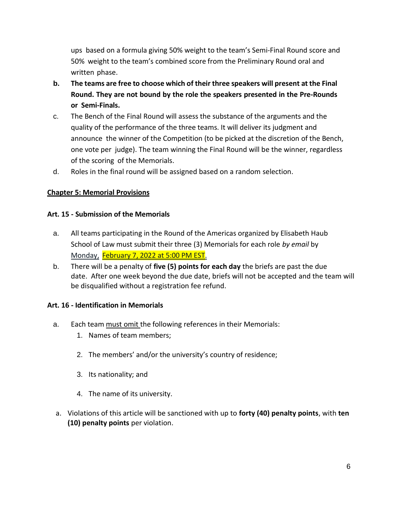ups based on a formula giving 50% weight to the team's Semi-Final Round score and 50% weight to the team's combined score from the Preliminary Round oral and written phase.

- **b. The teams are free to choose which of their three speakers will present at the Final Round. They are not bound by the role the speakers presented in the Pre-Rounds or Semi-Finals.**
- c. The Bench of the Final Round will assess the substance of the arguments and the quality of the performance of the three teams. It will deliver its judgment and announce the winner of the Competition (to be picked at the discretion of the Bench, one vote per judge). The team winning the Final Round will be the winner, regardless of the scoring of the Memorials.
- d. Roles in the final round will be assigned based on a random selection.

# **Chapter 5: Memorial Provisions**

## **Art. 15 - Submission of the Memorials**

- a. All teams participating in the Round of the Americas organized by Elisabeth Haub School of Law must submit their three (3) Memorials for each role *by email* by Monday, February 7, 2022 at 5:00 PM EST.
- b. There will be a penalty of **five (5) points for each day** the briefs are past the due date. After one week beyond the due date, briefs will not be accepted and the team will be disqualified without a registration fee refund.

## **Art. 16 - Identification in Memorials**

- a. Each team must omit the following references in their Memorials:
	- 1. Names of team members;
	- 2. The members' and/or the university's country of residence;
	- 3. Its nationality; and
	- 4. The name of its university.
- a. Violations of this article will be sanctioned with up to **forty (40) penalty points**, with **ten (10) penalty points** per violation.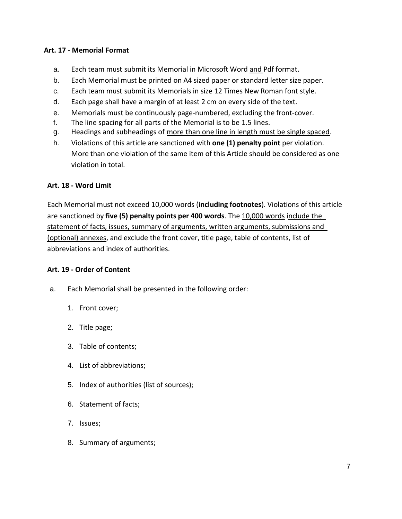## **Art. 17 - Memorial Format**

- a. Each team must submit its Memorial in Microsoft Word and Pdf format.
- b. Each Memorial must be printed on A4 sized paper or standard letter size paper.
- c. Each team must submit its Memorials in size 12 Times New Roman font style.
- d. Each page shall have a margin of at least 2 cm on every side of the text.
- e. Memorials must be continuously page-numbered, excluding the front-cover.
- f. The line spacing for all parts of the Memorial is to be 1.5 lines.
- g. Headings and subheadings of more than one line in length must be single spaced.
- h. Violations of this article are sanctioned with **one (1) penalty point** per violation. More than one violation of the same item of this Article should be considered as one violation in total.

#### **Art. 18 - Word Limit**

Each Memorial must not exceed 10,000 words (**including footnotes**). Violations of this article are sanctioned by **five (5) penalty points per 400 words**. The 10,000 words include the statement of facts, issues, summary of arguments, written arguments, submissions and (optional) annexes, and exclude the front cover, title page, table of contents, list of abbreviations and index of authorities.

#### **Art. 19 - Order of Content**

- a. Each Memorial shall be presented in the following order:
	- 1. Front cover;
	- 2. Title page;
	- 3. Table of contents;
	- 4. List of abbreviations;
	- 5. Index of authorities (list of sources);
	- 6. Statement of facts;
	- 7. Issues;
	- 8. Summary of arguments;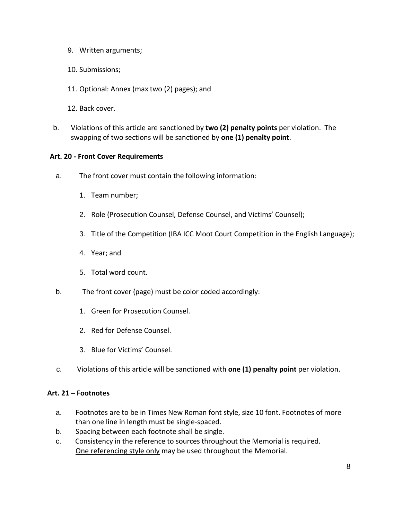- 9. Written arguments;
- 10. Submissions;
- 11. Optional: Annex (max two (2) pages); and
- 12. Back cover.
- b. Violations of this article are sanctioned by **two (2) penalty points** per violation. The swapping of two sections will be sanctioned by **one (1) penalty point**.

#### **Art. 20 - Front Cover Requirements**

- a. The front cover must contain the following information:
	- 1. Team number;
	- 2. Role (Prosecution Counsel, Defense Counsel, and Victims' Counsel);
	- 3. Title of the Competition (IBA ICC Moot Court Competition in the English Language);
	- 4. Year; and
	- 5. Total word count.
- b. The front cover (page) must be color coded accordingly:
	- 1. Green for Prosecution Counsel.
	- 2. Red for Defense Counsel.
	- 3. Blue for Victims' Counsel.
- c. Violations of this article will be sanctioned with **one (1) penalty point** per violation.

#### **Art. 21 – Footnotes**

- a. Footnotes are to be in Times New Roman font style, size 10 font. Footnotes of more than one line in length must be single-spaced.
- b. Spacing between each footnote shall be single.
- c. Consistency in the reference to sources throughout the Memorial is required. One referencing style only may be used throughout the Memorial.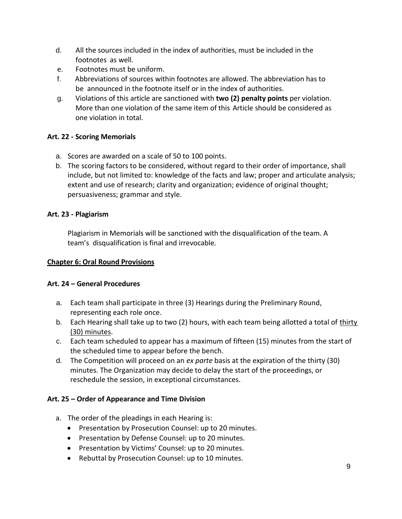- d. All the sources included in the index of authorities, must be included in the footnotes as well.
- e. Footnotes must be uniform.
- f. Abbreviations of sources within footnotes are allowed. The abbreviation has to be announced in the footnote itself or in the index of authorities.
- g. Violations of this article are sanctioned with **two (2) penalty points** per violation. More than one violation of the same item of this Article should be considered as one violation in total.

# **Art. 22 - Scoring Memorials**

- a. Scores are awarded on a scale of 50 to 100 points.
- b. The scoring factors to be considered, without regard to their order of importance, shall include, but not limited to: knowledge of the facts and law; proper and articulate analysis; extent and use of research; clarity and organization; evidence of original thought; persuasiveness; grammar and style.

## **Art. 23 - Plagiarism**

Plagiarism in Memorials will be sanctioned with the disqualification of the team. A team's disqualification is final and irrevocable.

## **Chapter 6: Oral Round Provisions**

## **Art. 24 – General Procedures**

- a. Each team shall participate in three (3) Hearings during the Preliminary Round, representing each role once.
- b. Each Hearing shall take up to two (2) hours, with each team being allotted a total of thirty (30) minutes.
- c. Each team scheduled to appear has a maximum of fifteen (15) minutes from the start of the scheduled time to appear before the bench.
- d. The Competition will proceed on an *ex parte* basis at the expiration of the thirty (30) minutes. The Organization may decide to delay the start of the proceedings, or reschedule the session, in exceptional circumstances.

# **Art. 25 – Order of Appearance and Time Division**

- a. The order of the pleadings in each Hearing is:
	- Presentation by Prosecution Counsel: up to 20 minutes.
	- Presentation by Defense Counsel: up to 20 minutes.
	- Presentation by Victims' Counsel: up to 20 minutes.
	- Rebuttal by Prosecution Counsel: up to 10 minutes.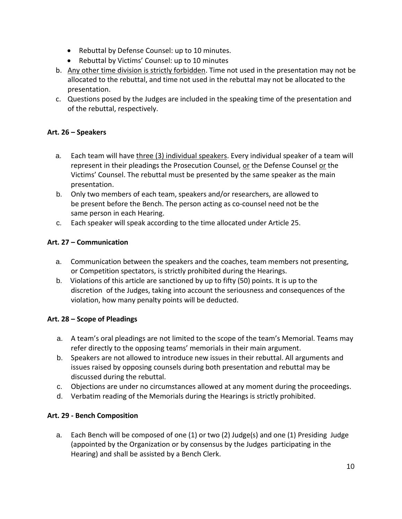- Rebuttal by Defense Counsel: up to 10 minutes.
- Rebuttal by Victims' Counsel: up to 10 minutes
- b. Any other time division is strictly forbidden. Time not used in the presentation may not be allocated to the rebuttal, and time not used in the rebuttal may not be allocated to the presentation.
- c. Questions posed by the Judges are included in the speaking time of the presentation and of the rebuttal, respectively.

## **Art. 26 – Speakers**

- a. Each team will have three (3) individual speakers. Every individual speaker of a team will represent in their pleadings the Prosecution Counsel, or the Defense Counsel or the Victims' Counsel. The rebuttal must be presented by the same speaker as the main presentation.
- b. Only two members of each team, speakers and/or researchers, are allowed to be present before the Bench. The person acting as co-counsel need not be the same person in each Hearing.
- c. Each speaker will speak according to the time allocated under Article 25.

## **Art. 27 – Communication**

- a. Communication between the speakers and the coaches, team members not presenting, or Competition spectators, is strictly prohibited during the Hearings.
- b. Violations of this article are sanctioned by up to fifty (50) points. It is up to the discretion of the Judges, taking into account the seriousness and consequences of the violation, how many penalty points will be deducted.

## **Art. 28 – Scope of Pleadings**

- a. A team's oral pleadings are not limited to the scope of the team's Memorial. Teams may refer directly to the opposing teams' memorials in their main argument.
- b. Speakers are not allowed to introduce new issues in their rebuttal. All arguments and issues raised by opposing counsels during both presentation and rebuttal may be discussed during the rebuttal.
- c. Objections are under no circumstances allowed at any moment during the proceedings.
- d. Verbatim reading of the Memorials during the Hearings is strictly prohibited.

## **Art. 29 - Bench Composition**

a. Each Bench will be composed of one (1) or two (2) Judge(s) and one (1) Presiding Judge (appointed by the Organization or by consensus by the Judges participating in the Hearing) and shall be assisted by a Bench Clerk.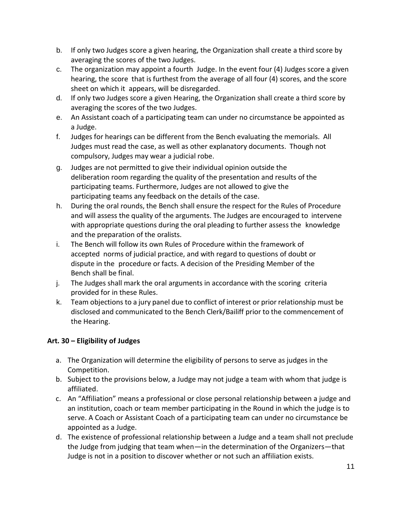- b. If only two Judges score a given hearing, the Organization shall create a third score by averaging the scores of the two Judges.
- c. The organization may appoint a fourth Judge. In the event four (4) Judges score a given hearing, the score that is furthest from the average of all four (4) scores, and the score sheet on which it appears, will be disregarded.
- d. If only two Judges score a given Hearing, the Organization shall create a third score by averaging the scores of the two Judges.
- e. An Assistant coach of a participating team can under no circumstance be appointed as a Judge.
- f. Judges for hearings can be different from the Bench evaluating the memorials. All Judges must read the case, as well as other explanatory documents. Though not compulsory, Judges may wear a judicial robe.
- g. Judges are not permitted to give their individual opinion outside the deliberation room regarding the quality of the presentation and results of the participating teams. Furthermore, Judges are not allowed to give the participating teams any feedback on the details of the case.
- h. During the oral rounds, the Bench shall ensure the respect for the Rules of Procedure and will assess the quality of the arguments. The Judges are encouraged to intervene with appropriate questions during the oral pleading to further assess the knowledge and the preparation of the oralists.
- i. The Bench will follow its own Rules of Procedure within the framework of accepted norms of judicial practice, and with regard to questions of doubt or dispute in the procedure or facts. A decision of the Presiding Member of the Bench shall be final.
- j. The Judges shall mark the oral arguments in accordance with the scoring criteria provided for in these Rules.
- k. Team objections to a jury panel due to conflict of interest or prior relationship must be disclosed and communicated to the Bench Clerk/Bailiff prior to the commencement of the Hearing.

# **Art. 30 – Eligibility of Judges**

- a. The Organization will determine the eligibility of persons to serve as judges in the Competition.
- b. Subject to the provisions below, a Judge may not judge a team with whom that judge is affiliated.
- c. An "Affiliation" means a professional or close personal relationship between a judge and an institution, coach or team member participating in the Round in which the judge is to serve. A Coach or Assistant Coach of a participating team can under no circumstance be appointed as a Judge.
- d. The existence of professional relationship between a Judge and a team shall not preclude the Judge from judging that team when—in the determination of the Organizers—that Judge is not in a position to discover whether or not such an affiliation exists.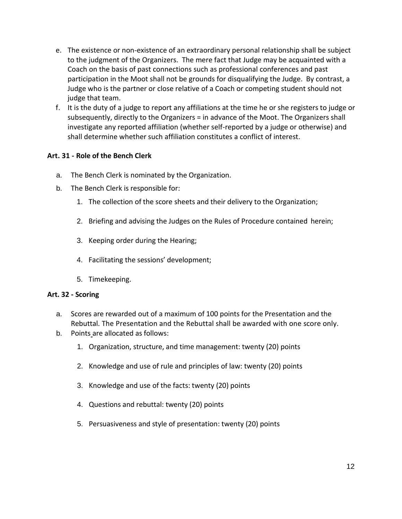- e. The existence or non-existence of an extraordinary personal relationship shall be subject to the judgment of the Organizers. The mere fact that Judge may be acquainted with a Coach on the basis of past connections such as professional conferences and past participation in the Moot shall not be grounds for disqualifying the Judge. By contrast, a Judge who is the partner or close relative of a Coach or competing student should not judge that team.
- f. It is the duty of a judge to report any affiliations at the time he or she registers to judge or subsequently, directly to the Organizers = in advance of the Moot. The Organizers shall investigate any reported affiliation (whether self-reported by a judge or otherwise) and shall determine whether such affiliation constitutes a conflict of interest.

### **Art. 31 - Role of the Bench Clerk**

- a. The Bench Clerk is nominated by the Organization.
- b. The Bench Clerk is responsible for:
	- 1. The collection of the score sheets and their delivery to the Organization;
	- 2. Briefing and advising the Judges on the Rules of Procedure contained herein;
	- 3. Keeping order during the Hearing;
	- 4. Facilitating the sessions' development;
	- 5. Timekeeping.

#### **Art. 32 - Scoring**

- a. Scores are rewarded out of a maximum of 100 points for the Presentation and the Rebuttal. The Presentation and the Rebuttal shall be awarded with one score only.
- b. Points are allocated as follows:
	- 1. Organization, structure, and time management: twenty (20) points
	- 2. Knowledge and use of rule and principles of law: twenty (20) points
	- 3. Knowledge and use of the facts: twenty (20) points
	- 4. Questions and rebuttal: twenty (20) points
	- 5. Persuasiveness and style of presentation: twenty (20) points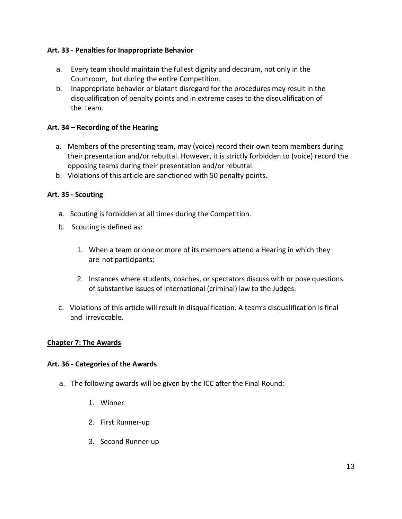## **Art. 33 - Penalties for Inappropriate Behavior**

- a. Every team should maintain the fullest dignity and decorum, not only in the Courtroom, but during the entire Competition.
- b. Inappropriate behavior or blatant disregard for the procedures may result in the disqualification of penalty points and in extreme cases to the disqualification of the team.

### **Art. 34 – Recording of the Hearing**

- a. Members of the presenting team, may (voice) record their own team members during their presentation and/or rebuttal. However, it is strictly forbidden to (voice) record the opposing teams during their presentation and/or rebuttal.
- b. Violations of this article are sanctioned with 50 penalty points.

### **Art. 35 - Scouting**

- a. Scouting is forbidden at all times during the Competition.
- b. Scouting is defined as:
	- 1. When a team or one or more of its members attend a Hearing in which they are not participants;
	- 2. Instances where students, coaches, or spectators discuss with or pose questions of substantive issues of international (criminal) law to the Judges.
- c. Violations of this article will result in disqualification. A team's disqualification is final and irrevocable.

#### **Chapter 7: The Awards**

#### **Art. 36 - Categories of the Awards**

- a. The following awards will be given by the ICC after the Final Round:
	- 1. Winner
	- 2. First Runner-up
	- 3. Second Runner-up